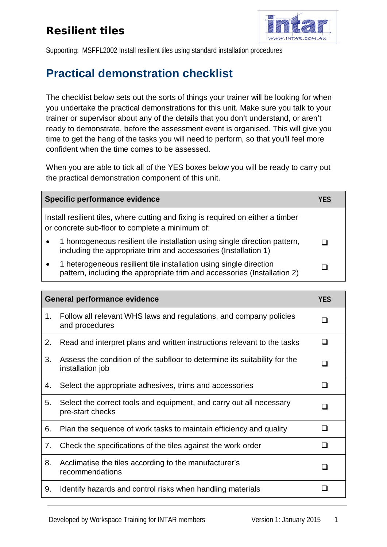## Resilient tiles



Supporting: MSFFL2002 Install resilient tiles using standard installation procedures

## **Practical demonstration checklist**

The checklist below sets out the sorts of things your trainer will be looking for when you undertake the practical demonstrations for this unit. Make sure you talk to your trainer or supervisor about any of the details that you don't understand, or aren't ready to demonstrate, before the assessment event is organised. This will give you time to get the hang of the tasks you will need to perform, so that you'll feel more confident when the time comes to be assessed.

When you are able to tick all of the YES boxes below you will be ready to carry out the practical demonstration component of this unit.

|                                                                                                                                     | Specific performance evidence                                                                                                                  | YES |
|-------------------------------------------------------------------------------------------------------------------------------------|------------------------------------------------------------------------------------------------------------------------------------------------|-----|
| Install resilient tiles, where cutting and fixing is required on either a timber<br>or concrete sub-floor to complete a minimum of: |                                                                                                                                                |     |
| $\bullet$                                                                                                                           | 1 homogeneous resilient tile installation using single direction pattern,<br>including the appropriate trim and accessories (Installation 1)   |     |
| $\bullet$                                                                                                                           | 1 heterogeneous resilient tile installation using single direction<br>pattern, including the appropriate trim and accessories (Installation 2) |     |

| <b>General performance evidence</b> |                                                                                               | <b>YES</b> |
|-------------------------------------|-----------------------------------------------------------------------------------------------|------------|
| 1.                                  | Follow all relevant WHS laws and regulations, and company policies<br>and procedures          |            |
| 2.                                  | Read and interpret plans and written instructions relevant to the tasks                       |            |
| 3.                                  | Assess the condition of the subfloor to determine its suitability for the<br>installation job |            |
| 4.                                  | Select the appropriate adhesives, trims and accessories                                       |            |
| 5.                                  | Select the correct tools and equipment, and carry out all necessary<br>pre-start checks       | n          |
| 6.                                  | Plan the sequence of work tasks to maintain efficiency and quality                            | <b>.</b>   |
| 7.                                  | Check the specifications of the tiles against the work order                                  | - 1        |
| 8.                                  | Acclimatise the tiles according to the manufacturer's<br>recommendations                      | □          |
| 9.                                  | Identify hazards and control risks when handling materials                                    |            |